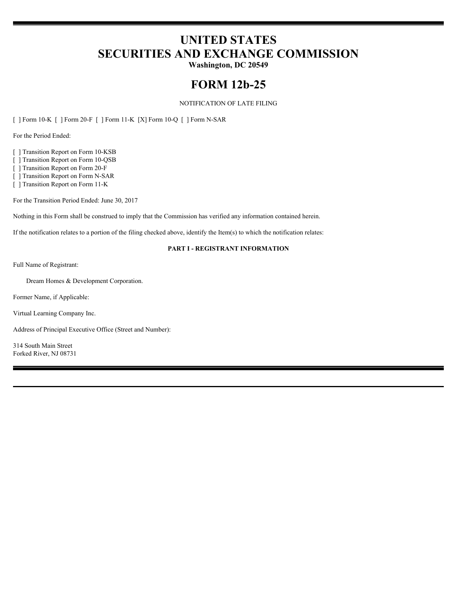# **UNITED STATES SECURITIES AND EXCHANGE COMMISSION**

**Washington, DC 20549**

## **FORM 12b-25**

#### NOTIFICATION OF LATE FILING

[ ] Form 10-K [ ] Form 20-F [ ] Form 11-K [X] Form 10-Q [ ] Form N-SAR

For the Period Ended:

[ ] Transition Report on Form 10-KSB

[ ] Transition Report on Form 10-QSB

[ ] Transition Report on Form 20-F

[ ] Transition Report on Form N-SAR

[ ] Transition Report on Form 11-K

For the Transition Period Ended: June 30, 2017

Nothing in this Form shall be construed to imply that the Commission has verified any information contained herein.

If the notification relates to a portion of the filing checked above, identify the Item(s) to which the notification relates:

#### **PART I - REGISTRANT INFORMATION**

Full Name of Registrant:

Dream Homes & Development Corporation.

Former Name, if Applicable:

Virtual Learning Company Inc.

Address of Principal Executive Office (Street and Number):

314 South Main Street Forked River, NJ 08731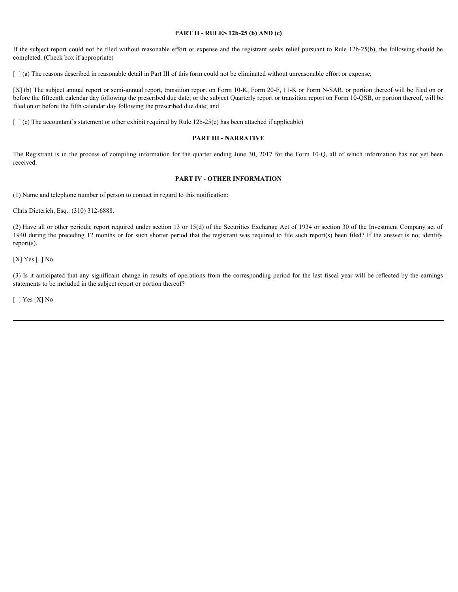#### **PART II - RULES 12b-25 (b) AND (c)**

If the subject report could not be filed without reasonable effort or expense and the registrant seeks relief pursuant to Rule 12b-25(b), the following should be completed. (Check box if appropriate)

[  $\alpha$ ] (a) The reasons described in reasonable detail in Part III of this form could not be eliminated without unreasonable effort or expense;

[X] (b) The subject annual report or semi-annual report, transition report on Form 10-K, Form 20-F, 11-K or Form N-SAR, or portion thereof will be filed on or before the fifteenth calendar day following the prescribed due date; or the subject Quarterly report or transition report on Form 10-QSB, or portion thereof, will be filed on or before the fifth calendar day following the prescribed due date; and **THE REGIST 11-RULES 12b-25 (b) AND (c)**<br> **The subject report could not be filed without reasonable effort or expense and the registrant seeks relief pursuant to Rule 12b-25(b), the following should be<br>
[ ] (a) The reasons** Fits subject report could not be fitel without reasonable effort or expense and the registrant secks relative participates of completed (10x3) the following abould be completed (11x2) in reason-color and the last any sign

 $\lceil \cdot \rceil$  (c) The accountant's statement or other exhibit required by Rule 12b-25(c) has been attached if applicable)

#### **PART III - NARRATIVE**

received.

#### **PART IV - OTHER INFORMATION**

(1) Name and telephone number of person to contact in regard to this notification:

Chris Dieterich, Esq.: (310) 312-6888.

(2) Have all or other periodic report required under section 13 or 15(d) of the Securities Exchange Act of 1934 or section 30 of the Investment Company act of 1940 during the preceding 12 months or for such shorter period that the registrant was required to file such report(s) been filed? If the answer is no, identify report(s).

[X] Yes [] No

statements to be included in the subject report or portion thereof?

[ ] Yes [X] No